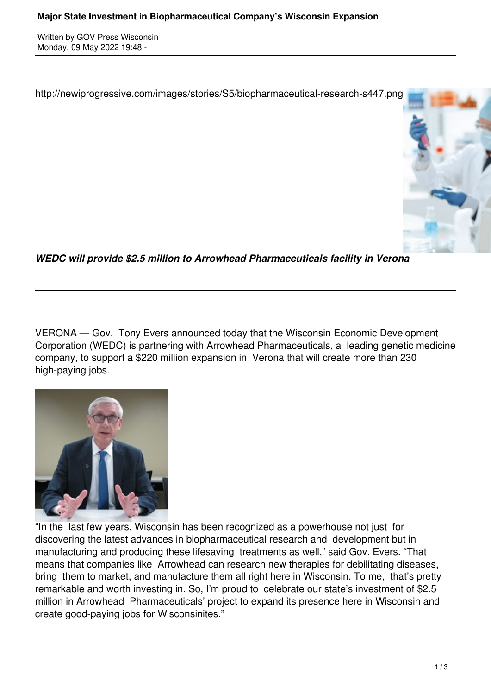Written by GOV Press Wisconsin Monday, 09 May 2022 19:48 -

http://newiprogressive.com/images/stories/S5/biopharmaceutical-research-s447.png



*WEDC will provide \$2.5 million to Arrowhead Pharmaceuticals facility in Verona*

VERONA — Gov. Tony Evers announced today that the Wisconsin Economic Development Corporation (WEDC) is partnering with Arrowhead Pharmaceuticals, a leading genetic medicine company, to support a \$220 million expansion in Verona that will create more than 230 high-paying jobs.



"In the last few years, Wisconsin has been recognized as a powerhouse not just for discovering the latest advances in biopharmaceutical research and development but in manufacturing and producing these lifesaving treatments as well," said Gov. Evers. "That means that companies like Arrowhead can research new therapies for debilitating diseases, bring them to market, and manufacture them all right here in Wisconsin. To me, that's pretty remarkable and worth investing in. So, I'm proud to celebrate our state's investment of \$2.5 million in Arrowhead Pharmaceuticals' project to expand its presence here in Wisconsin and create good-paying jobs for Wisconsinites."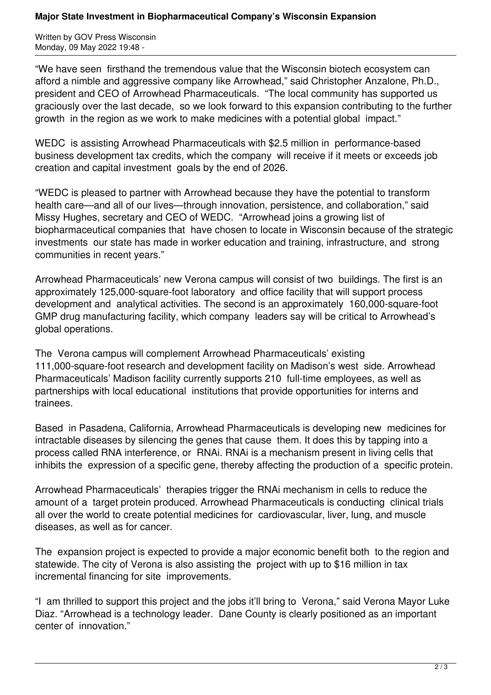## **Major State Investment in Biopharmaceutical Company's Wisconsin Expansion**

Written by GOV Press Wisconsin Monday, 09 May 2022 19:48 -

"We have seen firsthand the tremendous value that the Wisconsin biotech ecosystem can afford a nimble and aggressive company like Arrowhead," said Christopher Anzalone, Ph.D., president and CEO of Arrowhead Pharmaceuticals. "The local community has supported us graciously over the last decade, so we look forward to this expansion contributing to the further growth in the region as we work to make medicines with a potential global impact."

WEDC is assisting Arrowhead Pharmaceuticals with \$2.5 million in performance-based business development tax credits, which the company will receive if it meets or exceeds job creation and capital investment goals by the end of 2026.

"WEDC is pleased to partner with Arrowhead because they have the potential to transform health care—and all of our lives—through innovation, persistence, and collaboration," said Missy Hughes, secretary and CEO of WEDC. "Arrowhead joins a growing list of biopharmaceutical companies that have chosen to locate in Wisconsin because of the strategic investments our state has made in worker education and training, infrastructure, and strong communities in recent years."

Arrowhead Pharmaceuticals' new Verona campus will consist of two buildings. The first is an approximately 125,000-square-foot laboratory and office facility that will support process development and analytical activities. The second is an approximately 160,000-square-foot GMP drug manufacturing facility, which company leaders say will be critical to Arrowhead's global operations.

The Verona campus will complement Arrowhead Pharmaceuticals' existing 111,000-square-foot research and development facility on Madison's west side. Arrowhead Pharmaceuticals' Madison facility currently supports 210 full-time employees, as well as partnerships with local educational institutions that provide opportunities for interns and trainees.

Based in Pasadena, California, Arrowhead Pharmaceuticals is developing new medicines for intractable diseases by silencing the genes that cause them. It does this by tapping into a process called RNA interference, or RNAi. RNAi is a mechanism present in living cells that inhibits the expression of a specific gene, thereby affecting the production of a specific protein.

Arrowhead Pharmaceuticals' therapies trigger the RNAi mechanism in cells to reduce the amount of a target protein produced. Arrowhead Pharmaceuticals is conducting clinical trials all over the world to create potential medicines for cardiovascular, liver, lung, and muscle diseases, as well as for cancer.

The expansion project is expected to provide a major economic benefit both to the region and statewide. The city of Verona is also assisting the project with up to \$16 million in tax incremental financing for site improvements.

"I am thrilled to support this project and the jobs it'll bring to Verona," said Verona Mayor Luke Diaz. "Arrowhead is a technology leader. Dane County is clearly positioned as an important center of innovation."